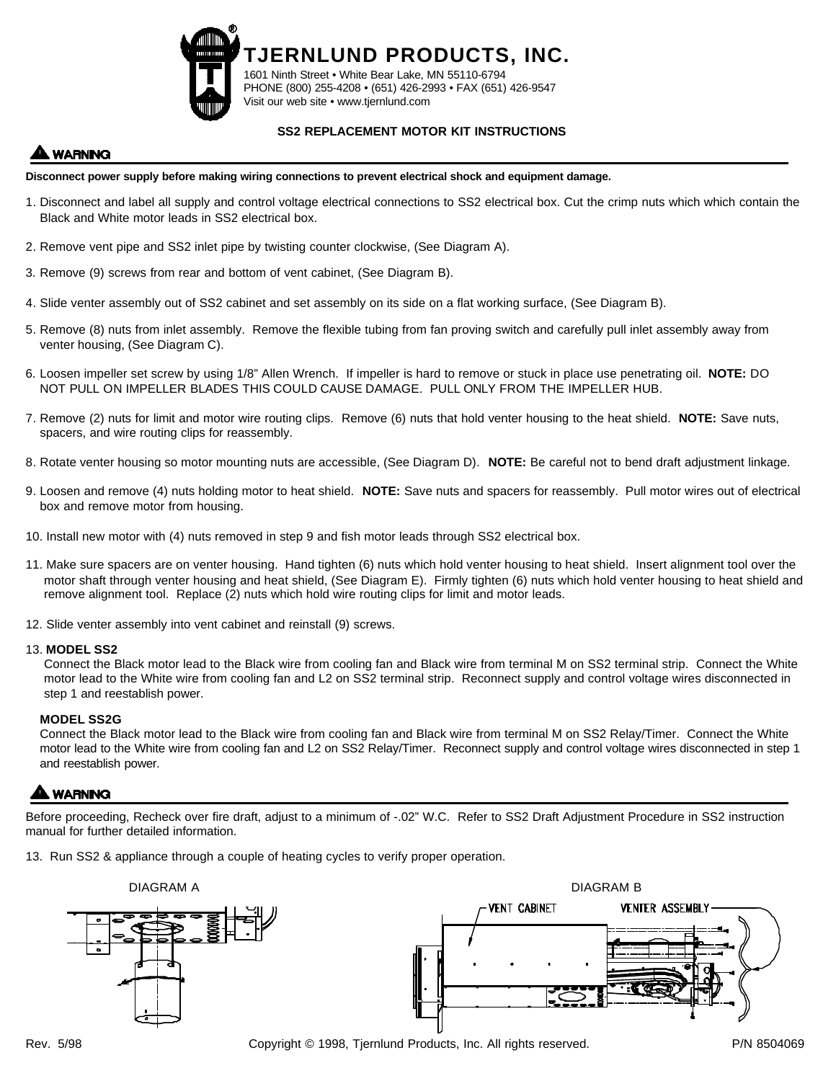

1601 Ninth Street • White Bear Lake, MN 55110-6794 PHONE (800) 255-4208 • (651) 426-2993 • FAX (651) 426-9547 Visit our web site • www.tjernlund.com

**TJERNLUND PRODUCTS, INC.**

### **SS2 REPLACEMENT MOTOR KIT INSTRUCTIONS**

# **WARNING**

#### **Disconnect power supply before making wiring connections to prevent electrical shock and equipment damage.**

- 1. Disconnect and label all supply and control voltage electrical connections to SS2 electrical box. Cut the crimp nuts which which contain the Black and White motor leads in SS2 electrical box.
- 2. Remove vent pipe and SS2 inlet pipe by twisting counter clockwise, (See Diagram A).
- 3. Remove (9) screws from rear and bottom of vent cabinet, (See Diagram B).
- 4. Slide venter assembly out of SS2 cabinet and set assembly on its side on a flat working surface, (See Diagram B).
- 5. Remove (8) nuts from inlet assembly. Remove the flexible tubing from fan proving switch and carefully pull inlet assembly away from venter housing, (See Diagram C).
- 6. Loosen impeller set screw by using 1/8" Allen Wrench. If impeller is hard to remove or stuck in place use penetrating oil. **NOTE:** DO NOT PULL ON IMPELLER BLADES THIS COULD CAUSE DAMAGE. PULL ONLY FROM THE IMPELLER HUB.
- 7. Remove (2) nuts for limit and motor wire routing clips. Remove (6) nuts that hold venter housing to the heat shield. **NOTE:** Save nuts, spacers, and wire routing clips for reassembly.
- 8. Rotate venter housing so motor mounting nuts are accessible, (See Diagram D). **NOTE:** Be careful not to bend draft adjustment linkage.
- 9. Loosen and remove (4) nuts holding motor to heat shield. **NOTE:** Save nuts and spacers for reassembly. Pull motor wires out of electrical box and remove motor from housing.
- 10. Install new motor with (4) nuts removed in step 9 and fish motor leads through SS2 electrical box.
- 11. Make sure spacers are on venter housing. Hand tighten (6) nuts which hold venter housing to heat shield. Insert alignment tool over the motor shaft through venter housing and heat shield, (See Diagram E). Firmly tighten (6) nuts which hold venter housing to heat shield and remove alignment tool. Replace (2) nuts which hold wire routing clips for limit and motor leads.
- 12. Slide venter assembly into vent cabinet and reinstall (9) screws.

#### 13. **MODEL SS2**

Connect the Black motor lead to the Black wire from cooling fan and Black wire from terminal M on SS2 terminal strip. Connect the White motor lead to the White wire from cooling fan and L2 on SS2 terminal strip. Reconnect supply and control voltage wires disconnected in step 1 and reestablish power.

#### **MODEL SS2G**

Connect the Black motor lead to the Black wire from cooling fan and Black wire from terminal M on SS2 Relay/Timer. Connect the White motor lead to the White wire from cooling fan and L2 on SS2 Relay/Timer. Reconnect supply and control voltage wires disconnected in step 1 and reestablish power.

## **WARNING**

Before proceeding, Recheck over fire draft, adjust to a minimum of -.02" W.C. Refer to SS2 Draft Adjustment Procedure in SS2 instruction manual for further detailed information.

13. Run SS2 & appliance through a couple of heating cycles to verify proper operation.



Rev. 5/98 Copyright © 1998, Tjernlund Products, Inc. All rights reserved. P/N 8504069